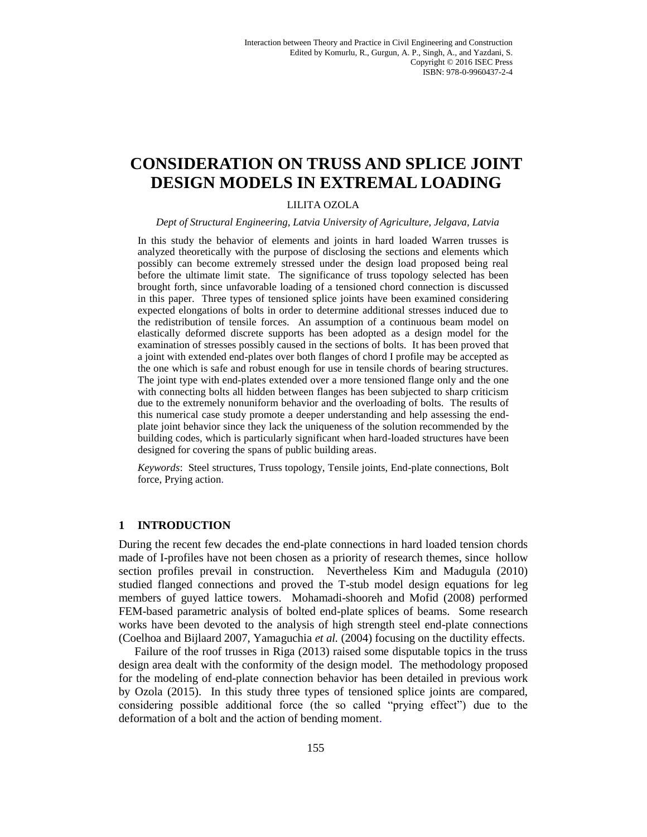# **CONSIDERATION ON TRUSS AND SPLICE JOINT DESIGN MODELS IN EXTREMAL LOADING**

## LILITA OZOLA

#### *Dept of Structural Engineering, Latvia University of Agriculture, Jelgava, Latvia*

In this study the behavior of elements and joints in hard loaded Warren trusses is analyzed theoretically with the purpose of disclosing the sections and elements which possibly can become extremely stressed under the design load proposed being real before the ultimate limit state. The significance of truss topology selected has been brought forth, since unfavorable loading of a tensioned chord connection is discussed in this paper. Three types of tensioned splice joints have been examined considering expected elongations of bolts in order to determine additional stresses induced due to the redistribution of tensile forces. An assumption of a continuous beam model on elastically deformed discrete supports has been adopted as a design model for the examination of stresses possibly caused in the sections of bolts. It has been proved that a joint with extended end-plates over both flanges of chord I profile may be accepted as the one which is safe and robust enough for use in tensile chords of bearing structures. The joint type with end-plates extended over a more tensioned flange only and the one with connecting bolts all hidden between flanges has been subjected to sharp criticism due to the extremely nonuniform behavior and the overloading of bolts. The results of this numerical case study promote a deeper understanding and help assessing the endplate joint behavior since they lack the uniqueness of the solution recommended by the building codes, which is particularly significant when hard-loaded structures have been designed for covering the spans of public building areas.

*Keywords*: Steel structures, Truss topology, Tensile joints, End-plate connections, Bolt force, Prying action.

### **1 INTRODUCTION**

During the recent few decades the end-plate connections in hard loaded tension chords made of I-profiles have not been chosen as a priority of research themes, since hollow section profiles prevail in construction. Nevertheless Kim and Madugula (2010) studied flanged connections and proved the T-stub model design equations for leg members of guyed lattice towers. Mohamadi-shooreh and Mofid (2008) performed FEM-based parametric analysis of bolted end-plate splices of beams. Some research works have been devoted to the analysis of high strength steel end-plate connections (Coelhoa and Bijlaard 2007, Yamaguchia *et al.* (2004) focusing on the ductility effects.

Failure of the roof trusses in Riga (2013) raised some disputable topics in the truss design area dealt with the conformity of the design model. The methodology proposed for the modeling of end-plate connection behavior has been detailed in previous work by Ozola (2015). In this study three types of tensioned splice joints are compared, considering possible additional force (the so called "prying effect") due to the deformation of a bolt and the action of bending moment.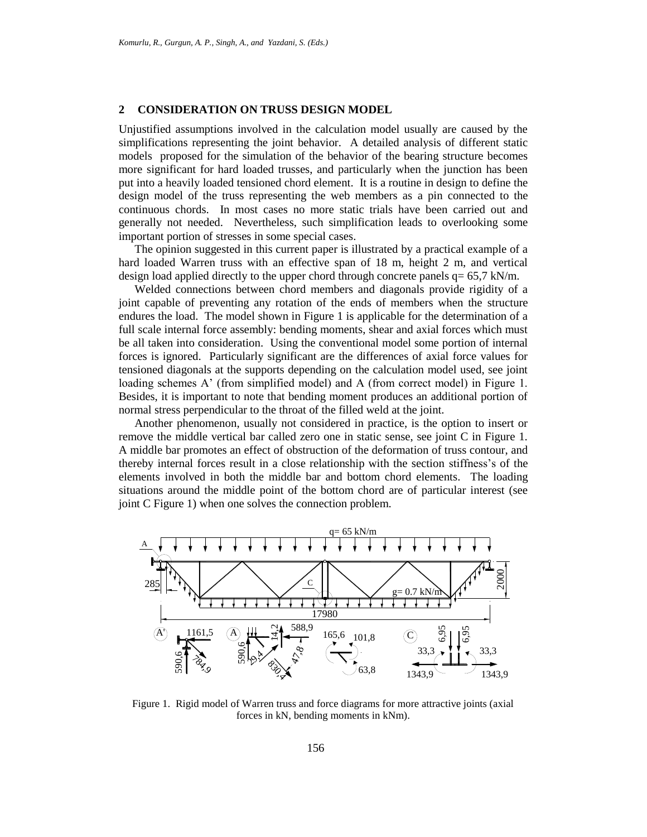#### **2 CONSIDERATION ON TRUSS DESIGN MODEL**

Unjustified assumptions involved in the calculation model usually are caused by the simplifications representing the joint behavior. A detailed analysis of different static models proposed for the simulation of the behavior of the bearing structure becomes more significant for hard loaded trusses, and particularly when the junction has been put into a heavily loaded tensioned chord element. It is a routine in design to define the design model of the truss representing the web members as a pin connected to the continuous chords. In most cases no more static trials have been carried out and generally not needed. Nevertheless, such simplification leads to overlooking some important portion of stresses in some special cases.

The opinion suggested in this current paper is illustrated by a practical example of a hard loaded Warren truss with an effective span of 18 m, height 2 m, and vertical design load applied directly to the upper chord through concrete panels q= 65,7 kN/m.

Welded connections between chord members and diagonals provide rigidity of a joint capable of preventing any rotation of the ends of members when the structure endures the load. The model shown in Figure 1 is applicable for the determination of a full scale internal force assembly: bending moments, shear and axial forces which must be all taken into consideration. Using the conventional model some portion of internal forces is ignored. Particularly significant are the differences of axial force values for tensioned diagonals at the supports depending on the calculation model used, see joint loading schemes A' (from simplified model) and A (from correct model) in Figure 1. Besides, it is important to note that bending moment produces an additional portion of normal stress perpendicular to the throat of the filled weld at the joint.

Another phenomenon, usually not considered in practice, is the option to insert or remove the middle vertical bar called zero one in static sense, see joint C in Figure 1. A middle bar promotes an effect of obstruction of the deformation of truss contour, and thereby internal forces result in a close relationship with the section stiffness's of the elements involved in both the middle bar and bottom chord elements. The loading situations around the middle point of the bottom chord are of particular interest (see joint C Figure 1) when one solves the connection problem.



Figure 1. Rigid model of Warren truss and force diagrams for more attractive joints (axial forces in kN, bending moments in kNm).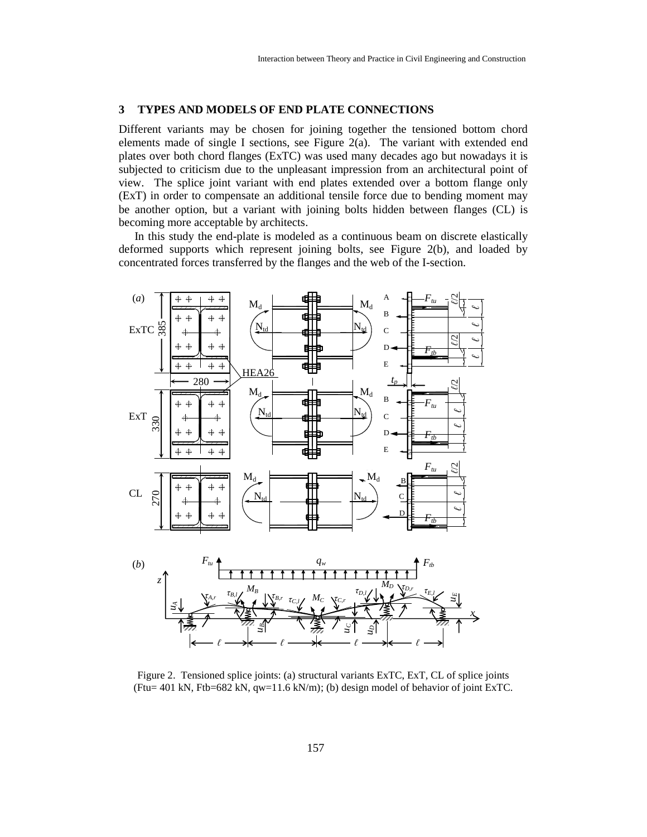#### **3 TYPES AND MODELS OF END PLATE CONNECTIONS**

Different variants may be chosen for joining together the tensioned bottom chord elements made of single I sections, see Figure 2(a). The variant with extended end plates over both chord flanges (ExTC) was used many decades ago but nowadays it is subjected to criticism due to the unpleasant impression from an architectural point of view. The splice joint variant with end plates extended over a bottom flange only (ExT) in order to compensate an additional tensile force due to bending moment may be another option, but a variant with joining bolts hidden between flanges (CL) is becoming more acceptable by architects.

In this study the end-plate is modeled as a continuous beam on discrete elastically deformed supports which represent joining bolts, see Figure 2(b), and loaded by concentrated forces transferred by the flanges and the web of the I-section.



Figure 2. Tensioned splice joints: (a) structural variants ExTC, ExT, CL of splice joints (Ftu= 401 kN, Ftb=682 kN, qw=11.6 kN/m); (b) design model of behavior of joint ExTC.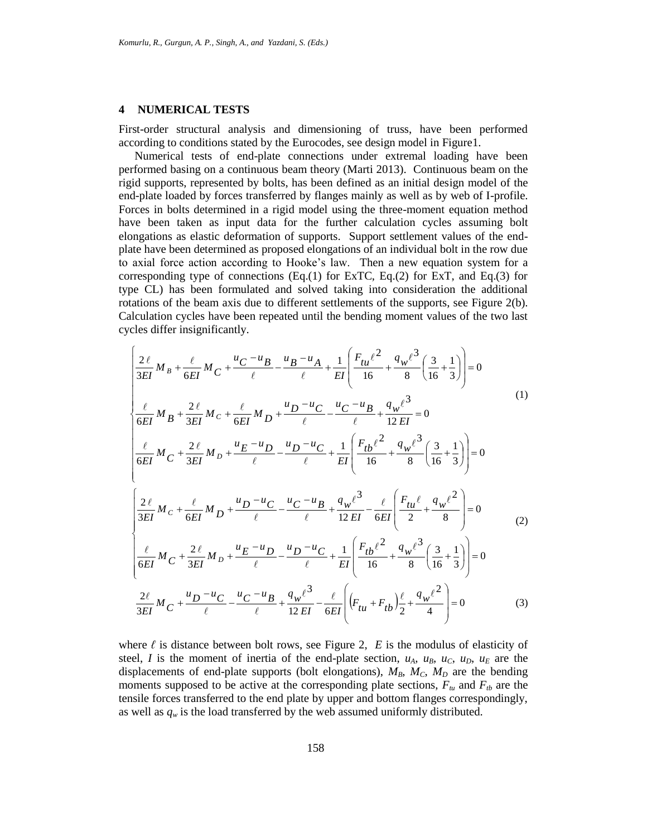#### **4 NUMERICAL TESTS**

First-order structural analysis and dimensioning of truss, have been performed according to conditions stated by the Eurocodes, see design model in Figure1.

Numerical tests of end-plate connections under extremal loading have been performed basing on a continuous beam theory (Marti 2013). Continuous beam on the rigid supports, represented by bolts, has been defined as an initial design model of the end-plate loaded by forces transferred by flanges mainly as well as by web of I-profile. Forces in bolts determined in a rigid model using the three-moment equation method have been taken as input data for the further calculation cycles assuming bolt elongations as elastic deformation of supports. Support settlement values of the endplate have been determined as proposed elongations of an individual bolt in the row due to axial force action according to Hooke's law. Then a new equation system for a corresponding type of connections  $(Eq.(1)$  for ExTC,  $Eq.(2)$  for ExT, and  $Eq.(3)$  for type CL) has been formulated and solved taking into consideration the additional rotations of the beam axis due to different settlements of the supports, see Figure 2(b). Calculation cycles have been repeated until the bending moment values of the two last cycles differ insignificantly.

$$
\begin{cases}\n\frac{2\ell}{3EI} M_B + \frac{\ell}{6EI} M_C + \frac{u_C - u_B}{\ell} - \frac{u_B - u_A}{\ell} + \frac{1}{EI} \left( \frac{F_{tu} \ell^2}{16} + \frac{q_w \ell^3}{8} \left( \frac{3}{16} + \frac{1}{3} \right) \right) = 0 \\
\frac{\ell}{6EI} M_B + \frac{2\ell}{3EI} M_C + \frac{\ell}{6EI} M_D + \frac{u_D - u_C}{\ell} - \frac{u_C - u_B}{\ell} + \frac{q_w \ell^3}{12 EI} = 0 \\
\frac{\ell}{6EI} M_C + \frac{2\ell}{3EI} M_D + \frac{u_E - u_D}{\ell} - \frac{u_D - u_C}{\ell} + \frac{1}{EI} \left( \frac{F_{tb} \ell^2}{16} + \frac{q_w \ell^3}{8} \left( \frac{3}{16} + \frac{1}{3} \right) \right) = 0 \\
\frac{2\ell}{3EI} M_C + \frac{\ell}{6EI} M_D + \frac{u_D - u_C}{\ell} - \frac{u_C - u_B}{\ell} + \frac{q_w \ell^3}{12 EI} - \frac{\ell}{6EI} \left( \frac{F_{tt} \ell}{2} + \frac{q_w \ell^2}{8} \right) = 0 \\
\frac{\ell}{6EI} M_C + \frac{2\ell}{3EI} M_D + \frac{u_E - u_D}{\ell} - \frac{u_D - u_C}{\ell} + \frac{1}{EI} \left( \frac{F_{tb} \ell^2}{16} + \frac{q_w \ell^3}{8} \left( \frac{3}{16} + \frac{1}{3} \right) \right) = 0 \\
\frac{2\ell}{6EI} M_C + \frac{u_D - u_C}{\ell} - \frac{u_C - u_B}{\ell} + \frac{q_w \ell^3}{12 EI} - \frac{\ell}{6EI} \left( (F_{tt} + F_{tb}) \frac{\ell}{2} + \frac{q_w \ell^2}{4} \right) = 0\n\end{cases} (3)
$$

where  $\ell$  is distance between bolt rows, see Figure 2,  $E$  is the modulus of elasticity of steel, *I* is the moment of inertia of the end-plate section,  $u_A$ ,  $u_B$ ,  $u_C$ ,  $u_D$ ,  $u_E$  are the displacements of end-plate supports (bolt elongations),  $M_B$ ,  $M_C$ ,  $M_D$  are the bending moments supposed to be active at the corresponding plate sections,  $F_{tu}$  and  $F_{tb}$  are the tensile forces transferred to the end plate by upper and bottom flanges correspondingly, as well as  $q_w$  is the load transferred by the web assumed uniformly distributed.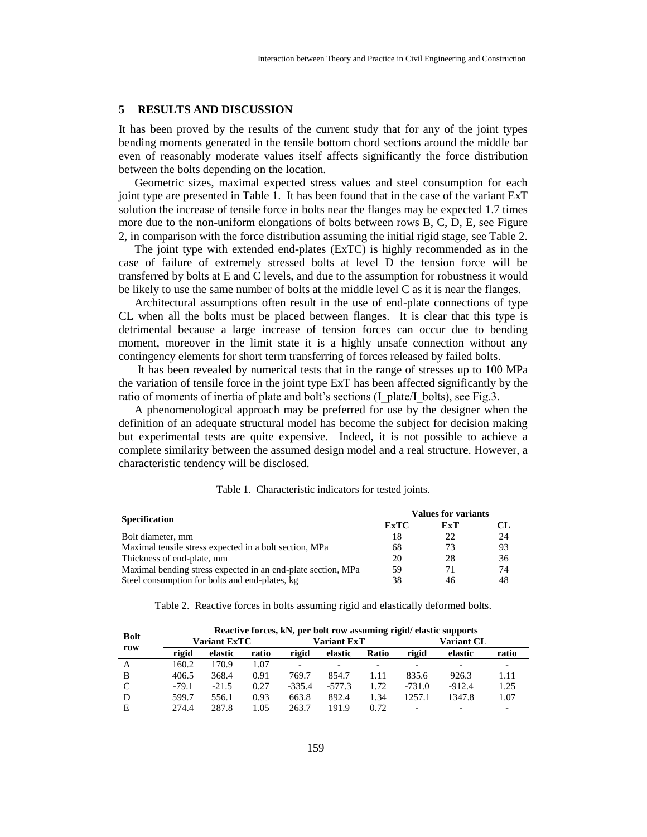#### **5 RESULTS AND DISCUSSION**

It has been proved by the results of the current study that for any of the joint types bending moments generated in the tensile bottom chord sections around the middle bar even of reasonably moderate values itself affects significantly the force distribution between the bolts depending on the location.

Geometric sizes, maximal expected stress values and steel consumption for each joint type are presented in Table 1. It has been found that in the case of the variant ExT solution the increase of tensile force in bolts near the flanges may be expected 1.7 times more due to the non-uniform elongations of bolts between rows B, C, D, E, see Figure 2, in comparison with the force distribution assuming the initial rigid stage, see Table 2.

The joint type with extended end-plates (ExTC) is highly recommended as in the case of failure of extremely stressed bolts at level D the tension force will be transferred by bolts at E and C levels, and due to the assumption for robustness it would be likely to use the same number of bolts at the middle level C as it is near the flanges.

Architectural assumptions often result in the use of end-plate connections of type CL when all the bolts must be placed between flanges. It is clear that this type is detrimental because a large increase of tension forces can occur due to bending moment, moreover in the limit state it is a highly unsafe connection without any contingency elements for short term transferring of forces released by failed bolts.

It has been revealed by numerical tests that in the range of stresses up to 100 MPa the variation of tensile force in the joint type ExT has been affected significantly by the ratio of moments of inertia of plate and bolt's sections (I\_plate/I\_bolts), see Fig.3.

A phenomenological approach may be preferred for use by the designer when the definition of an adequate structural model has become the subject for decision making but experimental tests are quite expensive. Indeed, it is not possible to achieve a complete similarity between the assumed design model and a real structure. However, a characteristic tendency will be disclosed.

| <b>Specification</b>                                         | <b>Values for variants</b> |     |    |  |
|--------------------------------------------------------------|----------------------------|-----|----|--|
|                                                              | <b>ExTC</b>                | ExT |    |  |
| Bolt diameter, mm                                            | 18                         | 22  | 24 |  |
| Maximal tensile stress expected in a bolt section, MPa       | 68                         | 73  | 93 |  |
| Thickness of end-plate, mm                                   | 20                         | 28  | 36 |  |
| Maximal bending stress expected in an end-plate section, MPa | 59                         | 71  | 74 |  |
| Steel consumption for bolts and end-plates, kg               | 38                         | 46  | 48 |  |

Table 1. Characteristic indicators for tested joints.

Table 2. Reactive forces in bolts assuming rigid and elastically deformed bolts.

| <b>Bolt</b><br>row | Reactive forces, kN, per bolt row assuming rigid/elastic supports |         |       |             |          |                          |                          |                          |       |
|--------------------|-------------------------------------------------------------------|---------|-------|-------------|----------|--------------------------|--------------------------|--------------------------|-------|
|                    | <b>Variant ExTC</b>                                               |         |       | Variant ExT |          | <b>Variant CL</b>        |                          |                          |       |
|                    | rigid                                                             | elastic | ratio | rigid       | elastic  | Ratio                    | rigid                    | elastic                  | ratio |
| A                  | 160.2                                                             | 170.9   | 1.07  |             | -        | $\overline{\phantom{0}}$ | $\overline{\phantom{0}}$ | $\overline{\phantom{0}}$ |       |
| B                  | 406.5                                                             | 368.4   | 0.91  | 769.7       | 854.7    | 1.11                     | 835.6                    | 926.3                    | 1.11  |
| C                  | $-79.1$                                                           | $-21.5$ | 0.27  | $-335.4$    | $-577.3$ | 1.72                     | $-731.0$                 | $-912.4$                 | 1.25  |
| D                  | 599.7                                                             | 556.1   | 0.93  | 663.8       | 892.4    | 1.34                     | 1257.1                   | 1347.8                   | 1.07  |
| Е                  | 274.4                                                             | 287.8   | 1.05  | 263.7       | 191.9    | 0.72                     | $\overline{\phantom{0}}$ | ۰                        |       |